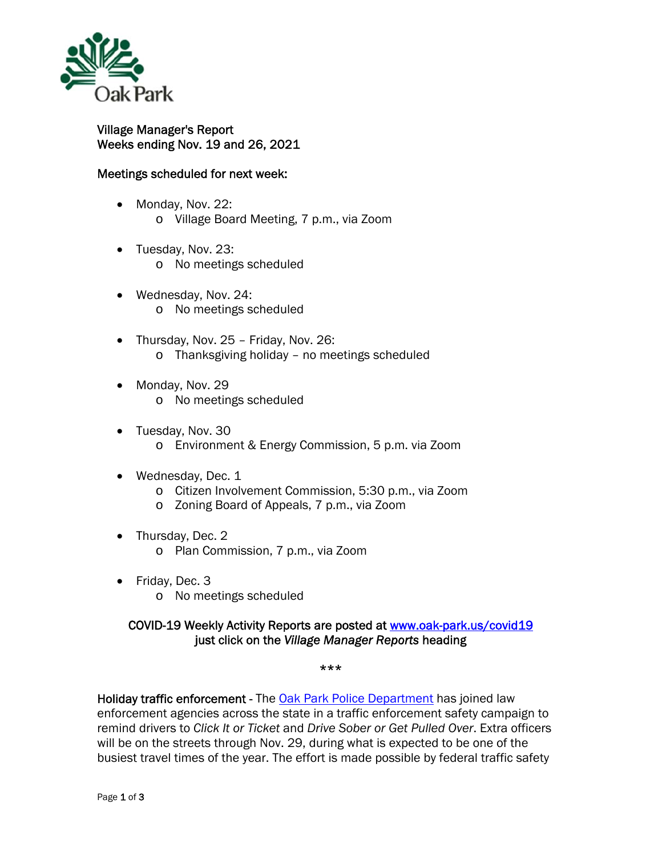

Village Manager's Report Weeks ending Nov. 19 and 26, 2021

## Meetings scheduled for next week:

- Monday, Nov. 22: o Village Board Meeting, 7 p.m., via Zoom
- Tuesday, Nov. 23:
	- o No meetings scheduled
- Wednesday, Nov. 24: o No meetings scheduled
- Thursday, Nov. 25 Friday, Nov. 26: o Thanksgiving holiday – no meetings scheduled
- Monday, Nov. 29 o No meetings scheduled
- Tuesday, Nov. 30 o Environment & Energy Commission, 5 p.m. via Zoom
- Wednesday, Dec. 1
	- o Citizen Involvement Commission, 5:30 p.m., via Zoom
	- o Zoning Board of Appeals, 7 p.m., via Zoom
- Thursday, Dec. 2
	- o Plan Commission, 7 p.m., via Zoom
- Friday, Dec. 3
	- o No meetings scheduled

## COVID-19 Weekly Activity Reports are posted at www.oak-park.us/covid19 just click on the *Village Manager Reports* heading

\*\*\*

Holiday traffic enforcement - The Oak Park Police Department has joined law enforcement agencies across the state in a traffic enforcement safety campaign to remind drivers to *Click It or Ticket* and *Drive Sober or Get Pulled Over*. Extra officers will be on the streets through Nov. 29, during what is expected to be one of the busiest travel times of the year. The effort is made possible by federal traffic safety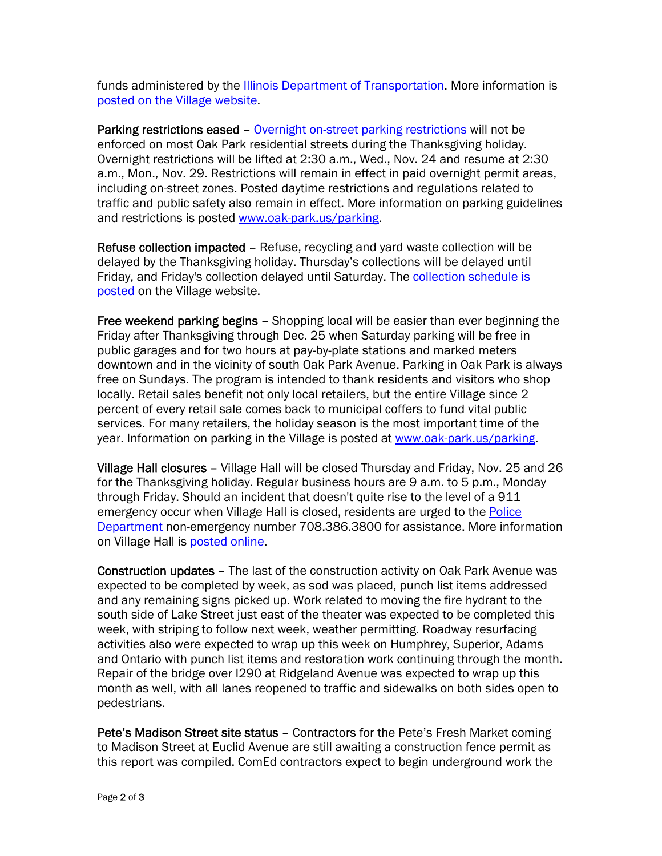funds administered by the Illinois Department of Transportation. More information is posted on the Village website.

Parking restrictions eased - Overnight on-street parking restrictions will not be enforced on most Oak Park residential streets during the Thanksgiving holiday. Overnight restrictions will be lifted at 2:30 a.m., Wed., Nov. 24 and resume at 2:30 a.m., Mon., Nov. 29. Restrictions will remain in effect in paid overnight permit areas, including on-street zones. Posted daytime restrictions and regulations related to traffic and public safety also remain in effect. More information on parking guidelines and restrictions is posted www.oak-park.us/parking.

Refuse collection impacted – Refuse, recycling and yard waste collection will be delayed by the Thanksgiving holiday. Thursday's collections will be delayed until Friday, and Friday's collection delayed until Saturday. The collection schedule is posted on the Village website.

Free weekend parking begins - Shopping local will be easier than ever beginning the Friday after Thanksgiving through Dec. 25 when Saturday parking will be free in public garages and for two hours at pay-by-plate stations and marked meters downtown and in the vicinity of south Oak Park Avenue. Parking in Oak Park is always free on Sundays. The program is intended to thank residents and visitors who shop locally. Retail sales benefit not only local retailers, but the entire Village since 2 percent of every retail sale comes back to municipal coffers to fund vital public services. For many retailers, the holiday season is the most important time of the year. Information on parking in the Village is posted at www.oak-park.us/parking.

Village Hall closures – Village Hall will be closed Thursday and Friday, Nov. 25 and 26 for the Thanksgiving holiday. Regular business hours are 9 a.m. to 5 p.m., Monday through Friday. Should an incident that doesn't quite rise to the level of a 911 emergency occur when Village Hall is closed, residents are urged to the Police Department non-emergency number 708.386.3800 for assistance. More information on Village Hall is posted online.

Construction updates – The last of the construction activity on Oak Park Avenue was expected to be completed by week, as sod was placed, punch list items addressed and any remaining signs picked up. Work related to moving the fire hydrant to the south side of Lake Street just east of the theater was expected to be completed this week, with striping to follow next week, weather permitting. Roadway resurfacing activities also were expected to wrap up this week on Humphrey, Superior, Adams and Ontario with punch list items and restoration work continuing through the month. Repair of the bridge over I290 at Ridgeland Avenue was expected to wrap up this month as well, with all lanes reopened to traffic and sidewalks on both sides open to pedestrians.

Pete's Madison Street site status – Contractors for the Pete's Fresh Market coming to Madison Street at Euclid Avenue are still awaiting a construction fence permit as this report was compiled. ComEd contractors expect to begin underground work the